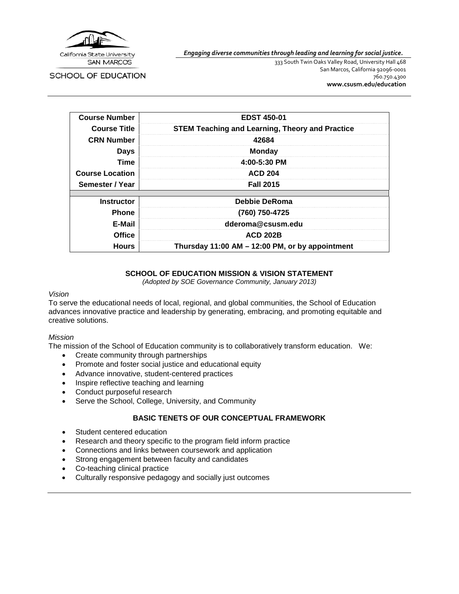

*Engaging diverse communities through leading and learning for social justice.*

**SCHOOL OF EDUCATION** 

333 South Twin Oaks Valley Road, University Hall 468 San Marcos, California 92096-0001 760.750.4300 **[www.csusm.edu/education](http://www.csusm.edu/education)**

| <b>Course Number</b>   | <b>EDST 450-01</b>                                     |
|------------------------|--------------------------------------------------------|
| <b>Course Title</b>    | <b>STEM Teaching and Learning, Theory and Practice</b> |
| <b>CRN Number</b>      | 42684                                                  |
| <b>Days</b>            | <b>Monday</b>                                          |
| Time                   | 4:00-5:30 PM                                           |
| <b>Course Location</b> | <b>ACD 204</b>                                         |
| Semester / Year        | <b>Fall 2015</b>                                       |
|                        |                                                        |
| <b>Instructor</b>      | Debbie DeRoma                                          |
| <b>Phone</b>           | (760) 750-4725                                         |
| E-Mail                 | dderoma@csusm.edu                                      |
| <b>Office</b>          | <b>ACD 202B</b>                                        |
| <b>Hours</b>           | Thursday 11:00 AM - 12:00 PM, or by appointment        |

#### **SCHOOL OF EDUCATION MISSION & VISION STATEMENT**

*(Adopted by SOE Governance Community, January 2013)*

#### *Vision*

To serve the educational needs of local, regional, and global communities, the School of Education advances innovative practice and leadership by generating, embracing, and promoting equitable and creative solutions.

#### *Mission*

The mission of the School of Education community is to collaboratively transform education. We:

- Create community through partnerships
- Promote and foster social justice and educational equity
- Advance innovative, student-centered practices
- Inspire reflective teaching and learning
- Conduct purposeful research
- Serve the School, College, University, and Community

#### **BASIC TENETS OF OUR CONCEPTUAL FRAMEWORK**

- Student centered education
- Research and theory specific to the program field inform practice
- Connections and links between coursework and application
- Strong engagement between faculty and candidates
- Co-teaching clinical practice
- Culturally responsive pedagogy and socially just outcomes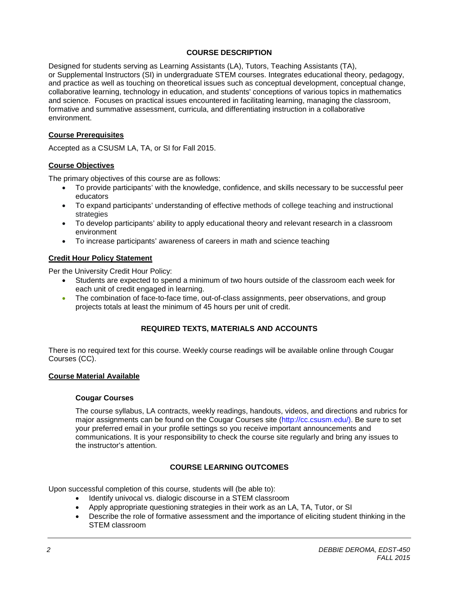## **COURSE DESCRIPTION**

Designed for students serving as Learning Assistants (LA), Tutors, Teaching Assistants (TA), or Supplemental Instructors (SI) in undergraduate STEM courses. Integrates educational theory, pedagogy, and practice as well as touching on theoretical issues such as conceptual development, conceptual change, collaborative learning, technology in education, and students' conceptions of various topics in mathematics and science. Focuses on practical issues encountered in facilitating learning, managing the classroom, formative and summative assessment, curricula, and differentiating instruction in a collaborative environment.

## **Course Prerequisites**

Accepted as a CSUSM LA, TA, or SI for Fall 2015.

## **Course Objectives**

The primary objectives of this course are as follows:

- To provide participants' with the knowledge, confidence, and skills necessary to be successful peer educators
- To expand participants' understanding of effective methods of college teaching and instructional strategies
- To develop participants' ability to apply educational theory and relevant research in a classroom environment
- To increase participants' awareness of careers in math and science teaching

## **Credit Hour Policy Statement**

Per the University Credit Hour Policy:

- Students are expected to spend a minimum of two hours outside of the classroom each week for each unit of credit engaged in learning.
- The combination of face-to-face time, out-of-class assignments, peer observations, and group projects totals at least the minimum of 45 hours per unit of credit.

# **REQUIRED TEXTS, MATERIALS AND ACCOUNTS**

There is no required text for this course. Weekly course readings will be available online through Cougar Courses (CC).

### **Course Material Available**

#### **Cougar Courses**

The course syllabus, LA contracts, weekly readings, handouts, videos, and directions and rubrics for major assignments can be found on the Cougar Courses site (http://cc.csusm.edu/). Be sure to set your preferred email in your profile settings so you receive important announcements and communications. It is your responsibility to check the course site regularly and bring any issues to the instructor's attention.

## **COURSE LEARNING OUTCOMES**

Upon successful completion of this course, students will (be able to):

- Identify univocal vs. dialogic discourse in a STEM classroom
- Apply appropriate questioning strategies in their work as an LA, TA, Tutor, or SI
- Describe the role of formative assessment and the importance of eliciting student thinking in the STEM classroom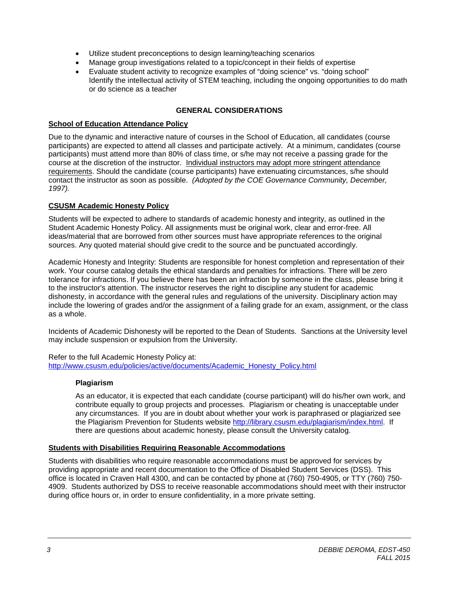- Utilize student preconceptions to design learning/teaching scenarios
- Manage group investigations related to a topic/concept in their fields of expertise
- Evaluate student activity to recognize examples of "doing science" vs. "doing school" Identify the intellectual activity of STEM teaching, including the ongoing opportunities to do math or do science as a teacher

# **GENERAL CONSIDERATIONS**

## **School of Education Attendance Policy**

Due to the dynamic and interactive nature of courses in the School of Education, all candidates (course participants) are expected to attend all classes and participate actively. At a minimum, candidates (course participants) must attend more than 80% of class time, or s/he may not receive a passing grade for the course at the discretion of the instructor. Individual instructors may adopt more stringent attendance requirements. Should the candidate (course participants) have extenuating circumstances, s/he should contact the instructor as soon as possible. *(Adopted by the COE Governance Community, December, 1997).*

# **CSUSM Academic Honesty Policy**

Students will be expected to adhere to standards of academic honesty and integrity, as outlined in the Student Academic Honesty Policy. All assignments must be original work, clear and error-free. All ideas/material that are borrowed from other sources must have appropriate references to the original sources. Any quoted material should give credit to the source and be punctuated accordingly.

Academic Honesty and Integrity: Students are responsible for honest completion and representation of their work. Your course catalog details the ethical standards and penalties for infractions. There will be zero tolerance for infractions. If you believe there has been an infraction by someone in the class, please bring it to the instructor's attention. The instructor reserves the right to discipline any student for academic dishonesty, in accordance with the general rules and regulations of the university. Disciplinary action may include the lowering of grades and/or the assignment of a failing grade for an exam, assignment, or the class as a whole.

Incidents of Academic Dishonesty will be reported to the Dean of Students. Sanctions at the University level may include suspension or expulsion from the University.

Refer to the full Academic Honesty Policy at: [http://www.csusm.edu/policies/active/documents/Academic\\_Honesty\\_Policy.html](http://www.csusm.edu/policies/active/documents/Academic_Honesty_Policy.html)

### **Plagiarism**

As an educator, it is expected that each candidate (course participant) will do his/her own work, and contribute equally to group projects and processes. Plagiarism or cheating is unacceptable under any circumstances. If you are in doubt about whether your work is paraphrased or plagiarized see the Plagiarism Prevention for Students website [http://library.csusm.edu/plagiarism/index.html.](http://library.csusm.edu/plagiarism/index.html) If there are questions about academic honesty, please consult the University catalog.

### **Students with Disabilities Requiring Reasonable Accommodations**

Students with disabilities who require reasonable accommodations must be approved for services by providing appropriate and recent documentation to the Office of Disabled Student Services (DSS). This office is located in Craven Hall 4300, and can be contacted by phone at (760) 750-4905, or TTY (760) 750- 4909. Students authorized by DSS to receive reasonable accommodations should meet with their instructor during office hours or, in order to ensure confidentiality, in a more private setting.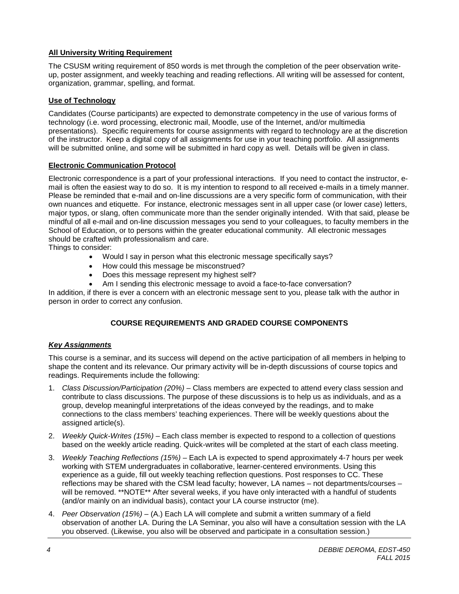# **All University Writing Requirement**

The CSUSM writing requirement of 850 words is met through the completion of the peer observation writeup, poster assignment, and weekly teaching and reading reflections. All writing will be assessed for content, organization, grammar, spelling, and format.

### **Use of Technology**

Candidates (Course participants) are expected to demonstrate competency in the use of various forms of technology (i.e. word processing, electronic mail, Moodle, use of the Internet, and/or multimedia presentations). Specific requirements for course assignments with regard to technology are at the discretion of the instructor. Keep a digital copy of all assignments for use in your teaching portfolio. All assignments will be submitted online, and some will be submitted in hard copy as well. Details will be given in class.

#### **Electronic Communication Protocol**

Electronic correspondence is a part of your professional interactions. If you need to contact the instructor, email is often the easiest way to do so. It is my intention to respond to all received e-mails in a timely manner. Please be reminded that e-mail and on-line discussions are a very specific form of communication, with their own nuances and etiquette. For instance, electronic messages sent in all upper case (or lower case) letters, major typos, or slang, often communicate more than the sender originally intended. With that said, please be mindful of all e-mail and on-line discussion messages you send to your colleagues, to faculty members in the School of Education, or to persons within the greater educational community. All electronic messages should be crafted with professionalism and care.

Things to consider:

- Would I say in person what this electronic message specifically says?
- How could this message be misconstrued?
- Does this message represent my highest self?
- Am I sending this electronic message to avoid a face-to-face conversation?

In addition, if there is ever a concern with an electronic message sent to you, please talk with the author in person in order to correct any confusion.

### **COURSE REQUIREMENTS AND GRADED COURSE COMPONENTS**

### *Key Assignments*

This course is a seminar, and its success will depend on the active participation of all members in helping to shape the content and its relevance. Our primary activity will be in-depth discussions of course topics and readings. Requirements include the following:

- 1. *Class Discussion/Participation (20%) –* Class members are expected to attend every class session and contribute to class discussions. The purpose of these discussions is to help us as individuals, and as a group, develop meaningful interpretations of the ideas conveyed by the readings, and to make connections to the class members' teaching experiences. There will be weekly questions about the assigned article(s).
- 2. *Weekly Quick-Writes (15%) –* Each class member is expected to respond to a collection of questions based on the weekly article reading. Quick-writes will be completed at the start of each class meeting.
- 3. *Weekly Teaching Reflections (15%) –* Each LA is expected to spend approximately 4-7 hours per week working with STEM undergraduates in collaborative, learner-centered environments. Using this experience as a guide, fill out weekly teaching reflection questions. Post responses to CC. These reflections may be shared with the CSM lead faculty; however, LA names – not departments/courses – will be removed. \*\*NOTE\*\* After several weeks, if you have only interacted with a handful of students (and/or mainly on an individual basis), contact your LA course instructor (me).
- 4. *Peer Observation (15%) –* (A.) Each LA will complete and submit a written summary of a field observation of another LA. During the LA Seminar, you also will have a consultation session with the LA you observed. (Likewise, you also will be observed and participate in a consultation session.)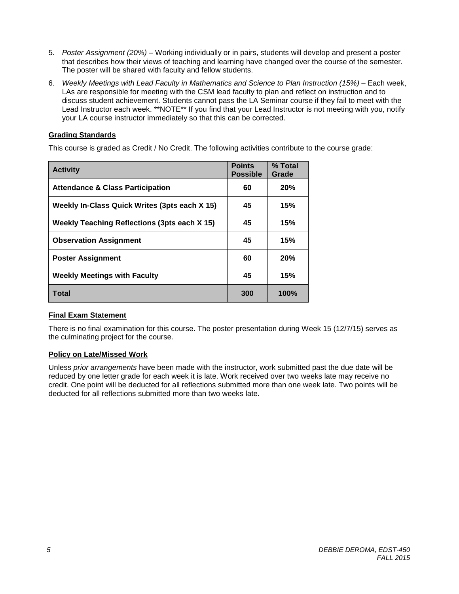- 5. *Poster Assignment (20%)* Working individually or in pairs, students will develop and present a poster that describes how their views of teaching and learning have changed over the course of the semester. The poster will be shared with faculty and fellow students.
- 6. *Weekly Meetings with Lead Faculty in Mathematics and Science to Plan Instruction (15%) –* Each week, LAs are responsible for meeting with the CSM lead faculty to plan and reflect on instruction and to discuss student achievement. Students cannot pass the LA Seminar course if they fail to meet with the Lead Instructor each week. \*\*NOTE\*\* If you find that your Lead Instructor is not meeting with you, notify your LA course instructor immediately so that this can be corrected.

# **Grading Standards**

This course is graded as Credit / No Credit. The following activities contribute to the course grade:

| <b>Activity</b>                                     | <b>Points</b><br><b>Possible</b> | % Total<br>Grade |
|-----------------------------------------------------|----------------------------------|------------------|
| <b>Attendance &amp; Class Participation</b>         | 60                               | 20%              |
| Weekly In-Class Quick Writes (3pts each X 15)       | 45                               | 15%              |
| <b>Weekly Teaching Reflections (3pts each X 15)</b> | 45                               | 15%              |
| <b>Observation Assignment</b>                       | 45                               | 15%              |
| <b>Poster Assignment</b>                            | 60                               | 20%              |
| <b>Weekly Meetings with Faculty</b>                 | 45                               | 15%              |
| Total                                               | 300                              | 100%             |

### **Final Exam Statement**

There is no final examination for this course. The poster presentation during Week 15 (12/7/15) serves as the culminating project for the course.

### **Policy on Late/Missed Work**

Unless *prior arrangements* have been made with the instructor, work submitted past the due date will be reduced by one letter grade for each week it is late. Work received over two weeks late may receive no credit. One point will be deducted for all reflections submitted more than one week late. Two points will be deducted for all reflections submitted more than two weeks late.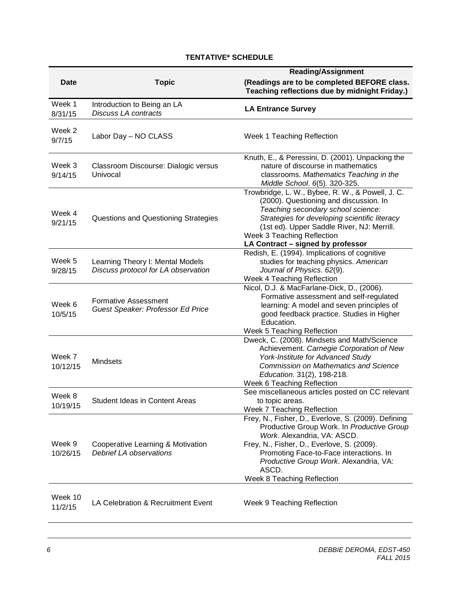# **TENTATIVE\* SCHEDULE**

|                    |                                                                         | <b>Reading/Assignment</b>                                                                                                                                                                                                                                                                                  |  |  |
|--------------------|-------------------------------------------------------------------------|------------------------------------------------------------------------------------------------------------------------------------------------------------------------------------------------------------------------------------------------------------------------------------------------------------|--|--|
| <b>Date</b>        | <b>Topic</b>                                                            | (Readings are to be completed BEFORE class.<br>Teaching reflections due by midnight Friday.)                                                                                                                                                                                                               |  |  |
| Week 1<br>8/31/15  | Introduction to Being an LA<br><b>Discuss LA contracts</b>              | <b>LA Entrance Survey</b>                                                                                                                                                                                                                                                                                  |  |  |
| Week 2<br>9/7/15   | Labor Day - NO CLASS                                                    | Week 1 Teaching Reflection                                                                                                                                                                                                                                                                                 |  |  |
| Week 3<br>9/14/15  | Classroom Discourse: Dialogic versus<br>Univocal                        | Knuth, E., & Peressini, D. (2001). Unpacking the<br>nature of discourse in mathematics<br>classrooms. Mathematics Teaching in the<br>Middle School. 6(5). 320-325.                                                                                                                                         |  |  |
| Week 4<br>9/21/15  | Questions and Questioning Strategies                                    | Trowbridge, L. W., Bybee, R. W., & Powell, J. C.<br>(2000). Questioning and discussion. In<br>Teaching secondary school science:<br>Strategies for developing scientific literacy<br>(1st ed). Upper Saddle River, NJ: Merrill.<br>Week 3 Teaching Reflection<br>LA Contract - signed by professor         |  |  |
| Week 5<br>9/28/15  | Learning Theory I: Mental Models<br>Discuss protocol for LA observation | Redish, E. (1994). Implications of cognitive<br>studies for teaching physics. American<br>Journal of Physics. 62(9).<br>Week 4 Teaching Reflection                                                                                                                                                         |  |  |
| Week 6<br>10/5/15  | <b>Formative Assessment</b><br>Guest Speaker: Professor Ed Price        | Nicol, D.J. & MacFarlane-Dick, D., (2006).<br>Formative assessment and self-regulated<br>learning: A model and seven principles of<br>good feedback practice. Studies in Higher<br>Education.<br>Week 5 Teaching Reflection                                                                                |  |  |
| Week 7<br>10/12/15 | <b>Mindsets</b>                                                         | Dweck, C. (2008). Mindsets and Math/Science<br>Achievement. Carnegie Corporation of New<br>York-Institute for Advanced Study<br><b>Commission on Mathematics and Science</b><br>Education. 31(2), 198-218.<br>Week 6 Teaching Reflection                                                                   |  |  |
| Week 8<br>10/19/15 | <b>Student Ideas in Content Areas</b>                                   | See miscellaneous articles posted on CC relevant<br>to topic areas.<br>Week 7 Teaching Reflection                                                                                                                                                                                                          |  |  |
| Week 9<br>10/26/15 | Cooperative Learning & Motivation<br>Debrief LA observations            | Frey, N., Fisher, D., Everlove, S. (2009). Defining<br>Productive Group Work. In Productive Group<br>Work. Alexandria, VA: ASCD.<br>Frey, N., Fisher, D., Everlove, S. (2009).<br>Promoting Face-to-Face interactions. In<br>Productive Group Work. Alexandria, VA:<br>ASCD.<br>Week 8 Teaching Reflection |  |  |
| Week 10<br>11/2/15 | LA Celebration & Recruitment Event                                      | Week 9 Teaching Reflection                                                                                                                                                                                                                                                                                 |  |  |